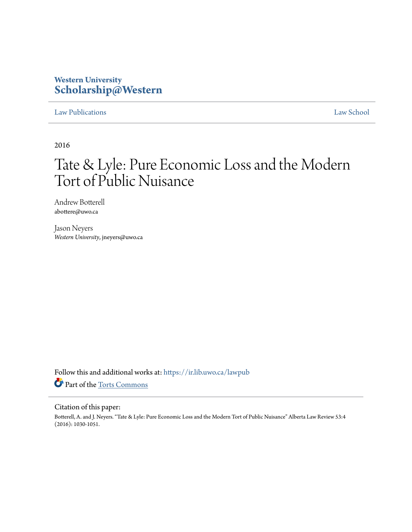# **Western University [Scholarship@Western](https://ir.lib.uwo.ca?utm_source=ir.lib.uwo.ca%2Flawpub%2F185&utm_medium=PDF&utm_campaign=PDFCoverPages)**

# [Law Publications](https://ir.lib.uwo.ca/lawpub?utm_source=ir.lib.uwo.ca%2Flawpub%2F185&utm_medium=PDF&utm_campaign=PDFCoverPages) [Law School](https://ir.lib.uwo.ca/law?utm_source=ir.lib.uwo.ca%2Flawpub%2F185&utm_medium=PDF&utm_campaign=PDFCoverPages)

2016

# Tate & Lyle: Pure Economic Loss and the Modern Tort of Public Nuisance

Andrew Botterell abottere@uwo.ca

Jason Neyers *Western University*, jneyers@uwo.ca

Follow this and additional works at: [https://ir.lib.uwo.ca/lawpub](https://ir.lib.uwo.ca/lawpub?utm_source=ir.lib.uwo.ca%2Flawpub%2F185&utm_medium=PDF&utm_campaign=PDFCoverPages) Part of the [Torts Commons](http://network.bepress.com/hgg/discipline/913?utm_source=ir.lib.uwo.ca%2Flawpub%2F185&utm_medium=PDF&utm_campaign=PDFCoverPages)

## Citation of this paper:

Botterell, A. and J. Neyers. "Tate & Lyle: Pure Economic Loss and the Modern Tort of Public Nuisance" Alberta Law Review 53:4 (2016): 1030-1051.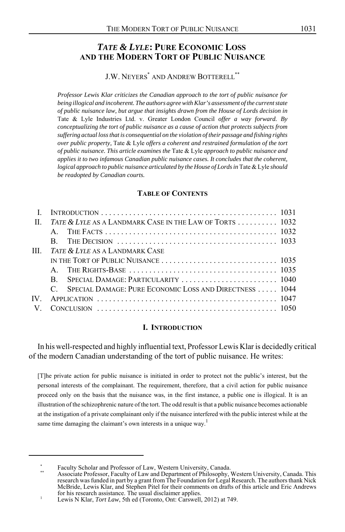# *TATE & LYLE***: PURE ECONOMIC LOSS AND THE MODERN TORT OF PUBLIC NUISANCE**

J.W. NEYERS<sup>\*</sup> AND ANDREW BOTTERELL<sup>\*\*</sup>

*Professor Lewis Klar criticizes the Canadian approach to the tort of public nuisance for being illogical and incoherent. The authors agree with Klar's assessment of the current state of public nuisance law, but argue that insights drawn from the House of Lords decision in* Tate & Lyle Industries Ltd. v. Greater London Council *offer a way forward. By conceptualizing the tort of public nuisance as a cause of action that protects subjects from suffering actual loss that is consequential on the violation of their passage and fishing rights over public property,* Tate & Lyle *offers a coherent and restrained formulation of the tort of public nuisance. This article examines the* Tate & Lyle *approach to public nuisance and applies it to two infamous Canadian public nuisance cases. It concludes that the coherent, logical approach to public nuisance articulated by the House of Lords in* Tate & Lyle *should be readopted by Canadian courts.*

#### **TABLE OF CONTENTS**

|      | II. TATE & LYLE AS A LANDMARK CASE IN THE LAW OF TORTS  1032 |  |
|------|--------------------------------------------------------------|--|
|      |                                                              |  |
|      | R.                                                           |  |
| III  | <i>TATE &amp; LYLE</i> AS A LANDMARK CASE                    |  |
|      |                                                              |  |
|      |                                                              |  |
|      | R.                                                           |  |
|      | C. SPECIAL DAMAGE: PURE ECONOMIC LOSS AND DIRECTNESS  1044   |  |
| IV — |                                                              |  |
|      |                                                              |  |

#### **I. INTRODUCTION**

In his well-respected and highly influential text, Professor Lewis Klar is decidedly critical of the modern Canadian understanding of the tort of public nuisance. He writes:

[T]he private action for public nuisance is initiated in order to protect not the public's interest, but the personal interests of the complainant. The requirement, therefore, that a civil action for public nuisance proceed only on the basis that the nuisance was, in the first instance, a public one is illogical. It is an illustration of the schizophrenic nature of the tort. The odd result is that a public nuisance becomes actionable at the instigation of a private complainant only if the nuisance interfered with the public interest while at the same time damaging the claimant's own interests in a unique way.<sup>1</sup>

Faculty Scholar and Professor of Law, Western University, Canada.<br>Associate Professor, Faculty of Law and Department of Philosophy, Western University, Canada. This<br>research was funded in part by a grant from The Foundatio McBride, Lewis Klar, and Stephen Pitel for their comments on drafts of this article and Eric Andrews for his research assistance. The usual disclaimer applies. <sup>1</sup> Lewis N Klar, *Tort Law*, 5th ed (Toronto, Ont: Carswell, 2012) at 749.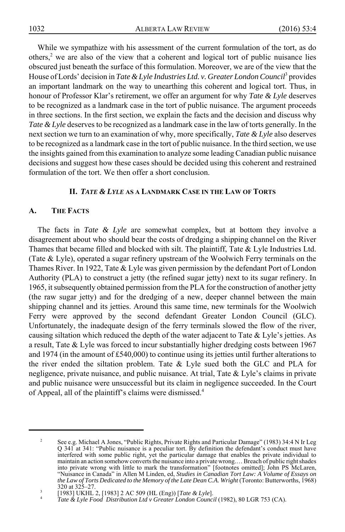While we sympathize with his assessment of the current formulation of the tort, as do others,<sup>2</sup> we are also of the view that a coherent and logical tort of public nuisance lies obscured just beneath the surface of this formulation. Moreover, we are of the view that the House of Lords' decision in *Tate & Lyle Industries Ltd. v. Greater London Council*<sup>3</sup> provides an important landmark on the way to unearthing this coherent and logical tort. Thus, in honour of Professor Klar's retirement, we offer an argument for why *Tate & Lyle* deserves to be recognized as a landmark case in the tort of public nuisance. The argument proceeds in three sections. In the first section, we explain the facts and the decision and discuss why *Tate & Lyle* deserves to be recognized as a landmark case in the law of torts generally. In the next section we turn to an examination of why, more specifically, *Tate & Lyle* also deserves to be recognized as a landmark case in the tort of public nuisance. In the third section, we use the insights gained from this examination to analyze some leading Canadian public nuisance decisions and suggest how these cases should be decided using this coherent and restrained formulation of the tort. We then offer a short conclusion.

#### **II.** *TATE & LYLE* **AS A LANDMARK CASE IN THE LAW OF TORTS**

#### **A. THE FACTS**

The facts in *Tate & Lyle* are somewhat complex, but at bottom they involve a disagreement about who should bear the costs of dredging a shipping channel on the River Thames that became filled and blocked with silt. The plaintiff, Tate & Lyle Industries Ltd. (Tate & Lyle), operated a sugar refinery upstream of the Woolwich Ferry terminals on the Thames River. In 1922, Tate & Lyle was given permission by the defendant Port of London Authority (PLA) to construct a jetty (the refined sugar jetty) next to its sugar refinery. In 1965, it subsequently obtained permission from the PLA for the construction of another jetty (the raw sugar jetty) and for the dredging of a new, deeper channel between the main shipping channel and its jetties. Around this same time, new terminals for the Woolwich Ferry were approved by the second defendant Greater London Council (GLC). Unfortunately, the inadequate design of the ferry terminals slowed the flow of the river, causing siltation which reduced the depth of the water adjacent to Tate & Lyle's jetties. As a result, Tate & Lyle was forced to incur substantially higher dredging costs between 1967 and 1974 (in the amount of £540,000) to continue using its jetties until further alterations to the river ended the siltation problem. Tate & Lyle sued both the GLC and PLA for negligence, private nuisance, and public nuisance. At trial, Tate & Lyle's claims in private and public nuisance were unsuccessful but its claim in negligence succeeded. In the Court of Appeal, all of the plaintiff's claims were dismissed.4

See e.g. Michael A Jones, "Public Rights, Private Rights and Particular Damage" (1983) 34:4 N Ir Leg Q 341 at 341: "Public nuisance is a peculiar tort. By definition the defendant's conduct must have interfered with some public right, yet the particular damage that enables the private individual to maintain an action somehow converts the nuisance into a private wrong.… Breach of public right shades into private wrong with little to mark the transformation" [footnotes omitted]; John PS McLaren, "Nuisance in Canada" in Allen M Linden, ed, *Studies in Canadian Tort Law: A Volume of Essays on the Law of Torts Dedicated to the Memory of the Late Dean C.A. Wright* (Toronto: Butterworths, 1968)<br>320 at 325–27.

<sup>320</sup> at 325–27. <sup>3</sup> [1983] UKHL 2, [1983] 2 AC 509 (HL (Eng)) [*Tate & Lyle*]. <sup>4</sup> *Tate & Lyle Food Distribution Ltd v Greater London Council* (1982), 80 LGR 753 (CA).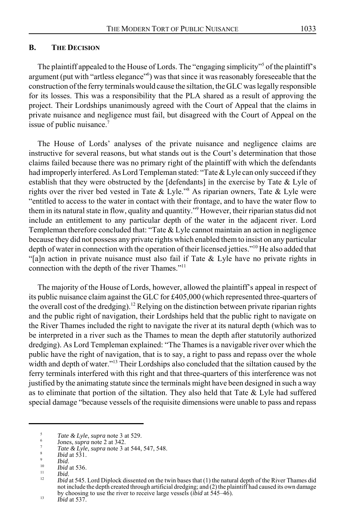The plaintiff appealed to the House of Lords. The "engaging simplicity"<sup>5</sup> of the plaintiff's argument (put with "artless elegance"<sup>6</sup>) was that since it was reasonably foreseeable that the construction of the ferry terminals would cause the siltation, the GLC was legally responsible for its losses. This was a responsibility that the PLA shared as a result of approving the project. Their Lordships unanimously agreed with the Court of Appeal that the claims in private nuisance and negligence must fail, but disagreed with the Court of Appeal on the issue of public nuisance.<sup>7</sup>

The House of Lords' analyses of the private nuisance and negligence claims are instructive for several reasons, but what stands out is the Court's determination that those claims failed because there was no primary right of the plaintiff with which the defendants had improperly interfered. As Lord Templeman stated: "Tate & Lyle can only succeed if they establish that they were obstructed by the [defendants] in the exercise by Tate & Lyle of rights over the river bed vested in Tate & Lyle."8 As riparian owners, Tate & Lyle were "entitled to access to the water in contact with their frontage, and to have the water flow to them in its natural state in flow, quality and quantity."<sup>9</sup> However, their riparian status did not include an entitlement to any particular depth of the water in the adjacent river. Lord Templeman therefore concluded that: "Tate & Lyle cannot maintain an action in negligence because they did not possess any private rights which enabled them to insist on any particular depth of water in connection with the operation of their licensed jetties."<sup>10</sup> He also added that "[a]n action in private nuisance must also fail if Tate & Lyle have no private rights in connection with the depth of the river Thames."<sup>11</sup>

The majority of the House of Lords, however, allowed the plaintiff's appeal in respect of its public nuisance claim against the GLC for £405,000 (which represented three-quarters of the overall cost of the dredging).<sup>12</sup> Relying on the distinction between private riparian rights and the public right of navigation, their Lordships held that the public right to navigate on the River Thames included the right to navigate the river at its natural depth (which was to be interpreted in a river such as the Thames to mean the depth after statutorily authorized dredging). As Lord Templeman explained: "The Thames is a navigable river over which the public have the right of navigation, that is to say, a right to pass and repass over the whole width and depth of water."<sup>13</sup> Their Lordships also concluded that the siltation caused by the ferry terminals interfered with this right and that three-quarters of this interference was not justified by the animating statute since the terminals might have been designed in such a way as to eliminate that portion of the siltation. They also held that Tate  $\&$  Lyle had suffered special damage "because vessels of the requisite dimensions were unable to pass and repass

<sup>&</sup>lt;sup>5</sup><br>
Tate & Lyle, supra note 3 at 529.<br>
<sup>6</sup><br>
Jones, supra note 2 at 342.<br>
<sup>7</sup><br> *Tate & Lyle, supra* note 3 at 544, 547, 548.<br>
<sup>8</sup><br> *Ibid* at 531.<br> *Ibid* at 536.<br>
<sup>10</sup><br> *Ibid* at 536.<br> *Ibid* at 545. Lord Diplock dissente not include the depth created through artificial dredging; and (2) the plaintiff had caused its own damage by choosing to use the river to receive large vessels (*ibid* at 545–46). <sup>13</sup> *Ibid* at 537.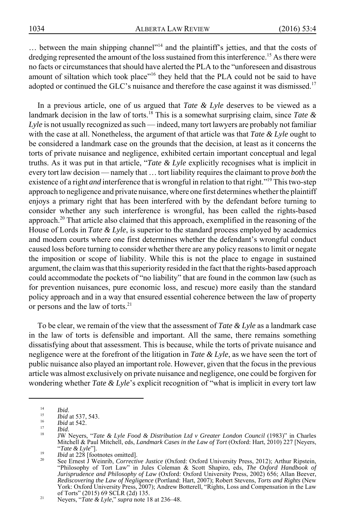... between the main shipping channel"<sup>14</sup> and the plaintiff's jetties, and that the costs of dredging represented the amount of the loss sustained from this interference.<sup>15</sup> As there were no facts or circumstances that should have alerted the PLA to the "unforeseen and disastrous amount of siltation which took place"<sup>16</sup> they held that the PLA could not be said to have adopted or continued the GLC's nuisance and therefore the case against it was dismissed.<sup>17</sup>

In a previous article, one of us argued that *Tate & Lyle* deserves to be viewed as a landmark decision in the law of torts.18 This is a somewhat surprising claim, since *Tate & Lyle* is not usually recognized as such — indeed, many tort lawyers are probably not familiar with the case at all. Nonetheless, the argument of that article was that *Tate & Lyle* ought to be considered a landmark case on the grounds that the decision, at least as it concerns the torts of private nuisance and negligence, exhibited certain important conceptual and legal truths. As it was put in that article, "*Tate & Lyle* explicitly recognises what is implicit in every tort law decision — namely that … tort liability requires the claimant to prove *both* the existence of a right *and* interference that is wrongful in relation to that right."19 This two-step approach to negligence and private nuisance, where one first determines whether the plaintiff enjoys a primary right that has been interfered with by the defendant before turning to consider whether any such interference is wrongful, has been called the rights-based approach.<sup>20</sup> That article also claimed that this approach, exemplified in the reasoning of the House of Lords in *Tate & Lyle*, is superior to the standard process employed by academics and modern courts where one first determines whether the defendant's wrongful conduct caused loss before turning to consider whether there are any policy reasons to limit or negate the imposition or scope of liability. While this is not the place to engage in sustained argument, the claim was that this superiority resided in the fact that the rights-based approach could accommodate the pockets of "no liability" that are found in the common law (such as for prevention nuisances, pure economic loss, and rescue) more easily than the standard policy approach and in a way that ensured essential coherence between the law of property or persons and the law of torts.<sup>21</sup>

To be clear, we remain of the view that the assessment of *Tate & Lyle* as a landmark case in the law of torts is defensible and important. All the same, there remains something dissatisfying about that assessment. This is because, while the torts of private nuisance and negligence were at the forefront of the litigation in *Tate & Lyle*, as we have seen the tort of public nuisance also played an important role. However, given that the focus in the previous article was almost exclusively on private nuisance and negligence, one could be forgiven for wondering whether *Tate & Lyle*'s explicit recognition of "what is implicit in every tort law

<sup>1&</sup>lt;sup>4</sup> *Ibid*.<br>
<sup>15</sup> *Ibid* at 537, 543.<br> *If Ibid* at 542.<br>
17 *Ibid.*<br>
18 **IW Neyers, "***Tate & Lyle Food & Distribution Ltd v Greater London Council* **(1983)" in Charles<br>
Mitchell & Paul Mitchell, eds,** *Landmark Cases in* Mitchell & Paul Mitchell, eds, *Landmark Cases in the Law of Tort* (Oxford: Hart, 2010) 227 [Neyers,<br>
"Tate & Lyle"].<br> *Ibid at* 228 [footnotes omitted].<br>
See Ernest J Weinrib, *Corrective Justice* (Oxford: Oxford Universi

*Jurisprudence and Philosophy of Law* (Oxford: Oxford University Press, 2002) 656; Allan Beever, *Rediscovering the Law of Negligence* (Portland: Hart, 2007); Robert Stevens, *Torts and Rights* (New York: Oxford University Press, 2007); Andrew Botterell, "Rights, Loss and Compensation in the Law of Torts" (2015) 69 SCLR (2d) 135. <sup>21</sup> Neyers, "*Tate & Lyle*," *supra* note 18 at 236–48.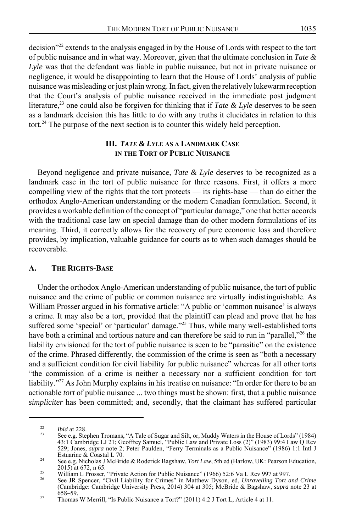decision<sup>222</sup> extends to the analysis engaged in by the House of Lords with respect to the tort of public nuisance and in what way. Moreover, given that the ultimate conclusion in *Tate & Lyle* was that the defendant was liable in public nuisance, but not in private nuisance or negligence, it would be disappointing to learn that the House of Lords' analysis of public nuisance was misleading or just plain wrong. In fact, given the relatively lukewarm reception that the Court's analysis of public nuisance received in the immediate post judgment literature,<sup>23</sup> one could also be forgiven for thinking that if *Tate & Lyle* deserves to be seen as a landmark decision this has little to do with any truths it elucidates in relation to this tort.<sup>24</sup> The purpose of the next section is to counter this widely held perception.

#### **III.** *TATE & LYLE* **AS A LANDMARK CASE IN THE TORT OF PUBLIC NUISANCE**

Beyond negligence and private nuisance, *Tate & Lyle* deserves to be recognized as a landmark case in the tort of public nuisance for three reasons. First, it offers a more compelling view of the rights that the tort protects — its rights-base — than do either the orthodox Anglo-American understanding or the modern Canadian formulation. Second, it provides a workable definition of the concept of "particular damage," one that better accords with the traditional case law on special damage than do other modern formulations of its meaning. Third, it correctly allows for the recovery of pure economic loss and therefore provides, by implication, valuable guidance for courts as to when such damages should be recoverable.

#### **A. THE RIGHTS-BASE**

Under the orthodox Anglo-American understanding of public nuisance, the tort of public nuisance and the crime of public or common nuisance are virtually indistinguishable. As William Prosser argued in his formative article: "A public or 'common nuisance' is always a crime. It may also be a tort, provided that the plaintiff can plead and prove that he has suffered some 'special' or 'particular' damage."<sup>25</sup> Thus, while many well-established torts have both a criminal and tortious nature and can therefore be said to run in "parallel,"<sup>26</sup> the liability envisioned for the tort of public nuisance is seen to be "parasitic" on the existence of the crime. Phrased differently, the commission of the crime is seen as "both a necessary and a sufficient condition for civil liability for public nuisance" whereas for all other torts "the commission of a crime is neither a necessary nor a sufficient condition for tort liability."<sup>27</sup> As John Murphy explains in his treatise on nuisance: "In order for there to be an actionable *tort* of public nuisance ... two things must be shown: first, that a public nuisance *simpliciter* has been committed; and, secondly, that the claimant has suffered particular

<sup>&</sup>lt;sup>22</sup> *Ibid* at 228.<br><sup>23</sup> See e.g. Stephen Tromans, "A Tale of Sugar and Silt, or, Muddy Waters in the House of Lords" (1984) 43:1 Cambridge LJ 21; Geoffrey Samuel, "Public Law and Private Loss (2)" (1983) 99:4 Law Q Rev 529; Jones, *supra* note 2; Peter Paulden, "Ferry Terminals as a Public Nuisance" (1986) 1:1 Intl J

Estuarine & Coastal L 70.<br><sup>24</sup> See e.g. Nicholas J McBride & Roderick Bagshaw, *Tort Law*, 5th ed (Harlow, UK: Pearson Education, 2015) at 672, n 65.

<sup>&</sup>lt;sup>25</sup> William L Prosser, "Private Action for Public Nuisance" (1966) 52:6 Va L Rev 997 at 997.<br><sup>26</sup> See JR Spencer, "Civil Liability for Crimes" in Matthew Dyson, ed, *Unravelling Tort and Crime* 

<sup>(</sup>Cambridge: Cambridge University Press, 2014) 304 at 305; McBride & Bagshaw, *supra* note 23 at

<sup>&</sup>lt;sup>27</sup> Thomas W Merrill, "Is Public Nuisance a Tort?" (2011) 4:2 J Tort L, Article 4 at 11.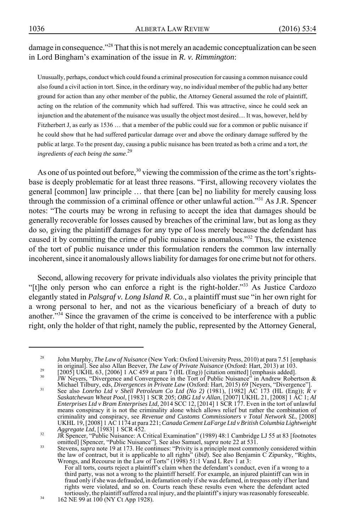damage in consequence."<sup>28</sup> That this is not merely an academic conceptualization can be seen in Lord Bingham's examination of the issue in *R. v. Rimmington*:

Unusually, perhaps, conduct which could found a criminal prosecution for causing a common nuisance could also found a civil action in tort. Since, in the ordinary way, no individual member of the public had any better ground for action than any other member of the public, the Attorney General assumed the role of plaintiff, acting on the relation of the community which had suffered. This was attractive, since he could seek an injunction and the abatement of the nuisance was usually the object most desired.... It was, however, held by Fitzherbert J, as early as 1536 … that a member of the public could sue for a common or public nuisance if he could show that he had suffered particular damage over and above the ordinary damage suffered by the public at large. To the present day, causing a public nuisance has been treated as both a crime and a tort, *the ingredients of each being the same*. 29

As one of us pointed out before,<sup>30</sup> viewing the commission of the crime as the tort's rightsbase is deeply problematic for at least three reasons. "First, allowing recovery violates the general [common] law principle … that there [can be] no liability for merely causing loss through the commission of a criminal offence or other unlawful action."<sup>31</sup> As J.R. Spencer notes: "The courts may be wrong in refusing to accept the idea that damages should be generally recoverable for losses caused by breaches of the criminal law, but as long as they do so, giving the plaintiff damages for any type of loss merely because the defendant has caused it by committing the crime of public nuisance is anomalous."32 Thus, the existence of the tort of public nuisance under this formulation renders the common law internally incoherent, since it anomalously allows liability for damages for one crime but not for others.

Second, allowing recovery for private individuals also violates the privity principle that "[t]he only person who can enforce a right is the right-holder."<sup>33</sup> As Justice Cardozo elegantly stated in *Palsgraf v. Long Island R. Co.*, a plaintiff must sue "in her own right for a wrong personal to her, and not as the vicarious beneficiary of a breach of duty to another."<sup>34</sup> Since the gravamen of the crime is conceived to be interference with a public right, only the holder of that right, namely the public, represented by the Attorney General,

<sup>&</sup>lt;sup>28</sup> John Murphy, *The Law of Nuisance* (New York: Oxford University Press, 2010) at para 7.51 [emphasis in original]. See also Allan Beever, *The Law of Private Nuisance* (Oxford: Hart, 2013) at 103.

<sup>29&</sup>lt;br>
[2005] UKHL 63, [2006] 1 AC 459 at para 7 (HL (Eng)) [citation omitted] [emphasis added].<br>
JW Neyers, "Divergence and Convergence in the Tort of Public Nuisance" in Andrew Robertson &<br>
Michael Tilbury, eds. *Divergence* 

Michael Tilbury, eds, *Divergences in Private Law* (Oxford: Hart, 2015) 69 [Neyers, "Divergence"].<br>See also *Lonrho Ltd v Shell Petroleum Co Ltd (No 2)* (1981), [1982] AC 173 (HL (Eng)); *R v Saskatchewan Wheat Pool*, [198 *Enterprises Ltd v Bram Enterprises Ltd*, 2014 SCC 12, [2014] 1 SCR 177. Even in the tort of unlawful means conspiracy it is not the criminality alone which allows relief but rather the combination of criminality and conspiracy, see *Revenue and Customs Commissioners v Total Network SL*, [2008] UKHL 19, [2008] 1 AC 1174 at para 221; *Canada Cement LaFarge Ltd v British Columbia Lightweight*

<sup>&</sup>lt;sup>32</sup> JR Spencer, "Public Nuisance: A Critical Examination" (1989) 48:1 Cambridge LJ 55 at 83 [footnotes omitted] [Spencer, "Public Nuisance"]. See also Samuel, *supra* note 22 at 531.

omitted] [Spencer, "Public Nuisance"]. See also Samuel, *supra* note 22 at 531.<br>Stevens, *supra* note 19 at 173. He continues: "Privity is a principle most commonly considered within<br>the law of contract, but it is applicab Wrongs, and Recourse in the Law of Torts" (1998) 51:1 Vand L Rev 1 at 3:

For all torts, courts reject a plaintiff's claim when the defendant's conduct, even if a wrong to a third party, was not a wrong to the plaintiff herself. For example, an injured plaintiff can win in fraud only if she was defrauded, in defamation only if she was defamed, in trespass only if her land rights were violated, and so on. Courts reach these results even where the defendant acted tortiously, the plaintiff suffered a real injury, and the plaintiff's injury was reasonably foreseeable.<br>162 NE 99 at 100 (NY Ct App 1928).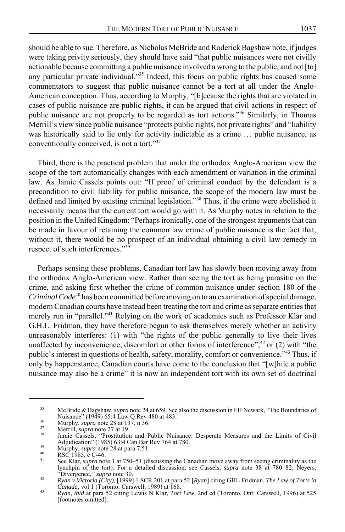should be able to sue. Therefore, as Nicholas McBride and Roderick Bagshaw note, if judges were taking privity seriously, they should have said "that public nuisances were not civilly actionable because committing a public nuisance involved a wrong to the public, and not [to] any particular private individual."<sup>35</sup> Indeed, this focus on public rights has caused some commentators to suggest that public nuisance cannot be a tort at all under the Anglo-American conception. Thus, according to Murphy, "[b]ecause the rights that are violated in cases of public nuisance are public rights, it can be argued that civil actions in respect of public nuisance are not properly to be regarded as tort actions."<sup>36</sup> Similarly, in Thomas Merrill's view since public nuisance "protects public rights, not private rights" and "liability was historically said to lie only for activity indictable as a crime … public nuisance, as conventionally conceived, is not a tort."37

Third, there is the practical problem that under the orthodox Anglo-American view the scope of the tort automatically changes with each amendment or variation in the criminal law. As Jamie Cassels points out: "If proof of criminal conduct by the defendant is a precondition to civil liability for public nuisance, the scope of the modern law must be defined and limited by existing criminal legislation."38 Thus, if the crime were abolished it necessarily means that the current tort would go with it. As Murphy notes in relation to the position in the United Kingdom: "Perhaps ironically, one of the strongest arguments that can be made in favour of retaining the common law crime of public nuisance is the fact that, without it, there would be no prospect of an individual obtaining a civil law remedy in respect of such interferences."39

Perhaps sensing these problems, Canadian tort law has slowly been moving away from the orthodox Anglo-American view. Rather than seeing the tort as being parasitic on the crime, and asking first whether the crime of common nuisance under section 180 of the *Criminal Code*40 has been committed before moving on to an examination of special damage, modern Canadian courts have instead been treating the tort and crime as separate entities that merely run in "parallel."<sup>41</sup> Relying on the work of academics such as Professor Klar and G.H.L. Fridman, they have therefore begun to ask themselves merely whether an activity unreasonably interferes: (1) with "the rights of the public generally to live their lives unaffected by inconvenience, discomfort or other forms of interference"; $^{42}$  or (2) with "the public's interest in questions of health, safety, morality, comfort or convenience."43 Thus, if only by happenstance, Canadian courts have come to the conclusion that "[w]hile a public nuisance may also be a crime" it is now an independent tort with its own set of doctrinal

<sup>35</sup> McBride & Bagshaw, *supra* note 24 at 659. See also the discussion in FH Newark, "The Boundaries of

<sup>&</sup>lt;sup>36</sup><br>
Murphy, *supra* note 28 at 137, n 36.<br>
<sup>37</sup><br>
Merrill, *supra* note 27 at 19.<br>
<sup>38</sup><br>
Jamie Cassels, "Prostitution and Public Nuisance: Desperate Measures and the Limits of Civil<br>
Adjudication" (1985) 63:4 Can Bar Rev

Murphy, *supra* note 28 at para 7.51.<br>
All RSC 1985, c C-46.<br>
See Klar, *supra* note 1 at 750–51 (discussing the Canadian move away from seeing criminality as the lynchpin of the tort). For a detailed discussion, see Cassels, *supra* note 38 at 780–82; Neyers,

<sup>&</sup>quot;Divergence," *supra* note 30.<br> *Ryan v Victoria (City)*, [1999] 1 SCR 201 at para 52 [*Ryan*] citing GHL Fridman, *The Law of Torts in*<br> *Canada*, vol 1 (Toronto: Carswell, 1989) at 168.

*Canada*, vol 1 (Toronto: Carswell, 1989) at 168. <sup>43</sup> *Ryan*, *ibid* at para 52 citing Lewis N Klar, *Tort Law*, 2nd ed (Toronto, Ont: Carswell, 1996) at 525 [footnotes omitted].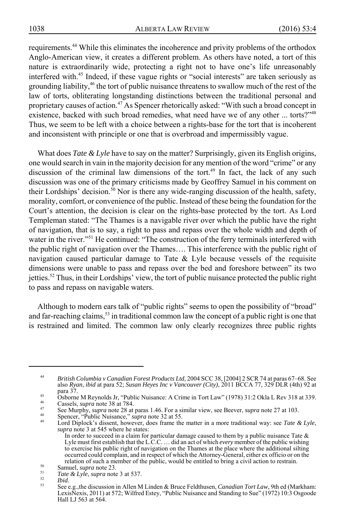requirements.44 While this eliminates the incoherence and privity problems of the orthodox Anglo-American view, it creates a different problem. As others have noted, a tort of this nature is extraordinarily wide, protecting a right not to have one's life unreasonably interfered with.45 Indeed, if these vague rights or "social interests" are taken seriously as grounding liability,<sup>46</sup> the tort of public nuisance threatens to swallow much of the rest of the law of torts, obliterating longstanding distinctions between the traditional personal and proprietary causes of action.47 As Spencer rhetorically asked: "With such a broad concept in existence, backed with such broad remedies, what need have we of any other ... torts?"<sup>48</sup> Thus, we seem to be left with a choice between a rights-base for the tort that is incoherent and inconsistent with principle or one that is overbroad and impermissibly vague.

What does *Tate & Lyle* have to say on the matter? Surprisingly, given its English origins, one would search in vain in the majority decision for any mention of the word "crime" or any discussion of the criminal law dimensions of the tort.<sup>49</sup> In fact, the lack of any such discussion was one of the primary criticisms made by Geoffrey Samuel in his comment on their Lordships' decision.<sup>50</sup> Nor is there any wide-ranging discussion of the health, safety, morality, comfort, or convenience of the public. Instead of these being the foundation for the Court's attention, the decision is clear on the rights-base protected by the tort. As Lord Templeman stated: "The Thames is a navigable river over which the public have the right of navigation, that is to say, a right to pass and repass over the whole width and depth of water in the river."<sup>51</sup> He continued: "The construction of the ferry terminals interfered with the public right of navigation over the Thames…. This interference with the public right of navigation caused particular damage to Tate & Lyle because vessels of the requisite dimensions were unable to pass and repass over the bed and foreshore between" its two jetties.52 Thus, in their Lordships' view, the tort of public nuisance protected the public right to pass and repass on navigable waters.

Although to modern ears talk of "public rights" seems to open the possibility of "broad" and far-reaching claims,<sup>53</sup> in traditional common law the concept of a public right is one that is restrained and limited. The common law only clearly recognizes three public rights

- 
- 
- para 37.<br>
Soborne M Reynolds Jr, "Public Nuisance: A Crime in Tort Law" (1978) 31:2 Okla L Rev 318 at 339.<br>
46<br>
Cassels, *supra* note 28 at 784.<br>
<sup>47</sup> See Murphy, *supra* note 28 at paras 1.46. For a similar view, see Bee
	- *supra* note 3 at 545 where he states: In order to succeed in a claim for particular damage caused to them by a public nuisance Tate  $\&$ Lyle must first establish that the L.C.C. … did an act of which *every* member of the public wishing to exercise his public right of navigation on the Thames at the place where the additional silting occurred could complain, and in respect of which the Attorney-General, either ex officio or on the relation of such a member of the public, would be entitled to bring a civil action to restrain.

<sup>44</sup> *British Columbia v Canadian Forest Products Ltd*, 2004 SCC 38, [2004] 2 SCR 74 at paras 67–68. See also *Ryan*, *ibid* at para 52; *Susan Heyes Inc v Vancouver (City)*, 2011 BCCA 77, 329 DLR (4th) 92 at

Samuel, *supra* note 23.<br>
Tate & Lyle, *supra* note 3 at 537.<br>
Tate & Lyle, *supra* note 3 at 537.<br>
Tate & Lyle, *supra* note 3 at 537.<br>
Tate .<br>
See e.g., the discussion in Allen M Linden & Bruce Feldthusen, *Canadian Tor* LexisNexis, 2011) at 572; Wilfred Estey, "Public Nuisance and Standing to Sue" (1972) 10:3 Osgoode Hall LJ 563 at 564.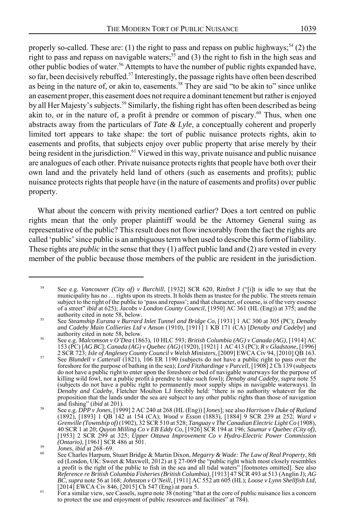properly so-called. These are: (1) the right to pass and repass on public highways;<sup>54</sup> (2) the right to pass and repass on navigable waters;<sup>55</sup> and (3) the right to fish in the high seas and other public bodies of water.<sup>56</sup> Attempts to have the number of public rights expanded have, so far, been decisively rebuffed.<sup>57</sup> Interestingly, the passage rights have often been described as being in the nature of, or akin to, easements.<sup>58</sup> They are said "to be akin to" since unlike an easement proper, this easement does not require a dominant tenement but rather is enjoyed by all Her Majesty's subjects.<sup>59</sup> Similarly, the fishing right has often been described as being akin to, or in the nature of, a profit à prendre or common of piscary.<sup>60</sup> Thus, when one abstracts away from the particulars of *Tate & Lyle*, a conceptually coherent and properly limited tort appears to take shape: the tort of public nuisance protects rights, akin to easements and profits, that subjects enjoy over public property that arise merely by their being resident in the jurisdiction.<sup>61</sup> Viewed in this way, private nuisance and public nuisance are analogues of each other. Private nuisance protects rights that people have both over their own land and the privately held land of others (such as easements and profits); public nuisance protects rights that people have (in the nature of easements and profits) over public property.

What about the concern with privity mentioned earlier? Does a tort centred on public rights mean that the only proper plaintiff would be the Attorney General suing as representative of the public? This result does not flow inexorably from the fact the rights are called 'public' since public is an ambiguous term when used to describe this form of liability. These rights are *public* in the sense that they (1) affect public land and (2) are vested in every member of the public because those members of the public are resident in the jurisdiction.

<sup>54</sup> See e.g. *Vancouver (City of) v Burchill*, [1932] SCR 620, Rinfret J ("[i]t is idle to say that the municipality has no … rights upon its streets. It holds them as trustee for the public. The streets remain subject to the right of the public to 'pass and repass'; and that character, of course, is of the very essence of a street" *ibid* at 625); *Jacobs v London County Council*, [1950] AC 361 (HL (Eng)) at 375; and the

authority cited in note 58, below. <sup>55</sup> See *Steamship Eurana v Burrard Inlet Tunnel and Bridge Co*, [1931] 1 AC 300 at 305 (PC); *Denaby and Cadeby Main Collieries Ltd v Anson* (1910), [1911] 1 KB 171 (CA) [*Denaby and Cadeby*] and

authority cited in note 58, below. <sup>56</sup> See e.g. *Malcomson v O'Dea* (1863), 10 HLC 593; *British Columbia (AG) v Canada (AG)*, [1914] AC 153 (PC) [*AG BC*]; *Canada (AG) v Quebec (AG)* (1920), [1921] 1 AC 413 (PC); *R v Gladstone*, [1996]

<sup>2</sup> SCR 723; *Isle of Anglesey County Council v Welsh Ministers*, [2009] EWCA Civ 94, [2010] QB 163. <sup>57</sup> See *Blundell v Catterall* (1821), 106 ER 1190 (subjects do not have a public right to pass over the foreshore for the purpose of bathing in the sea); *Lord Fitzhardinge v Purcell*, [1908] 2 Ch 139 (subjects do not have a public right to enter upon the foreshore or bed of navigable waterways for the purpose of killing wild fowl, nor a public profit à prendre to take such fowl); *Denaby and Cadeby*, *supra* note 55 (subjects do not have a public right to permanently moor supply ships in navigable waterways). In *Denaby and Cadeby*, Fletcher Moulton LJ forcibly held: "there is no authority whatever for the proposition that the lands under the sea are subject to any other public rights than those of navigation

and fishing" (*ibid* at 201).<br><sup>58</sup> See e.g. *DPP v Jones*, [1999] 2 AC 240 at 268 (HL (Eng)) [*Jones*]; see also *Harrison v Duke of Rutland* (1892), [1893] 1 QB 142 at 154 (CA); *Wood v Esson* (1883), [1884] 9 SCR 239 at 252; *Ward v* Grenville (Township of) (1902), 32 SCR 510 at 528; Tanguay v The Canadian Electric Light Co (1908),<br>40 SCR 1 at 20; Quyon Milling Co v EB Eddy Co, [1926] SCR 194 at 196; Saumur v Quebec (City of),<br>[1953] 2 SCR 299 at 325;

*<sup>(</sup>Ontario)*, [1961] SCR 486 at 501.<br><sup>59</sup> *Jones, ibid* at 268–69.<br><sup>60</sup> See Charles Harpum, Stuart Bridge & Martin Dixon, *Megarry & Wade: The Law of Real Property*, 8th ed (London, UK: Sweet & Maxwell, 2012) at § 27-069 the "public right which most closely resembles<br>a profit is the right of the public to fish in the sea and all tidal waters" [footnotes omitted]. See also<br>*Reference re Bri* 

<sup>&</sup>lt;sup>61</sup> [2014] EWCA Civ 846, [2015] Ch 547 (Eng) at para 5. <sup>61</sup> For a similar view, see Cassels, *supra* note 38 (noting "that at the core of public nuisance lies a concern to protect the use and enjoyment of public resources and facilities" at 784).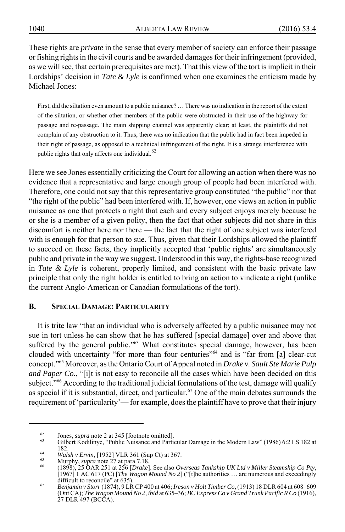These rights are *private* in the sense that every member of society can enforce their passage or fishing rights in the civil courts and be awarded damages for their infringement (provided, as we will see, that certain prerequisites are met). That this view of the tort is implicit in their Lordships' decision in *Tate & Lyle* is confirmed when one examines the criticism made by Michael Jones:

First, did the siltation even amount to a public nuisance? … There was no indication in the report of the extent of the siltation, or whether other members of the public were obstructed in their use of the highway for passage and re-passage. The main shipping channel was apparently clear; at least, the plaintiffs did not complain of any obstruction to it. Thus, there was no indication that the public had in fact been impeded in their right of passage, as opposed to a technical infringement of the right. It is a strange interference with public rights that only affects one individual.<sup>62</sup>

Here we see Jones essentially criticizing the Court for allowing an action when there was no evidence that a representative and large enough group of people had been interfered with. Therefore, one could not say that this representative group constituted "the public" nor that "the right of the public" had been interfered with. If, however, one views an action in public nuisance as one that protects a right that each and every subject enjoys merely because he or she is a member of a given polity, then the fact that other subjects did not share in this discomfort is neither here nor there — the fact that the right of one subject was interfered with is enough for that person to sue. Thus, given that their Lordships allowed the plaintiff to succeed on these facts, they implicitly accepted that 'public rights' are simultaneously public and private in the way we suggest. Understood in this way, the rights-base recognized in *Tate & Lyle* is coherent, properly limited, and consistent with the basic private law principle that only the right holder is entitled to bring an action to vindicate a right (unlike the current Anglo-American or Canadian formulations of the tort).

## **B. SPECIAL DAMAGE: PARTICULARITY**

It is trite law "that an individual who is adversely affected by a public nuisance may not sue in tort unless he can show that he has suffered [special damage] over and above that suffered by the general public."<sup>63</sup> What constitutes special damage, however, has been clouded with uncertainty "for more than four centuries"<sup>64</sup> and is "far from [a] clear-cut concept."65 Moreover, as the Ontario Court of Appeal noted in *Drake v. Sault Ste Marie Pulp and Paper Co.*, "[i]t is not easy to reconcile all the cases which have been decided on this subject."<sup>66</sup> According to the traditional judicial formulations of the test, damage will qualify as special if it is substantial, direct, and particular.<sup>67</sup> One of the main debates surrounds the requirement of 'particularity'— for example, does the plaintiff have to prove that their injury

<sup>&</sup>lt;sup>62</sup> Jones, *supra* note 2 at 345 [footnote omitted].<br><sup>63</sup> Gilbert Kodilinye, "Public Nuisance and Particular Damage in the Modern Law" (1986) 6:2 LS 182 at 182.<br><sup>64</sup> Walsh v Ervin, [1952] VLR 361 (Sup Ct) at 367.<br><sup>65</sup> Murphy, *supra* note 27 at para 7.18.<br><sup>66</sup> (1898), 25 OAR 251 at 256 [*Drake*]. See also *Overseas Tankship UK Ltd v Miller Steamship Co Pty*,

<sup>[1967] 1</sup> AC 617 (PC) [*The Wagon Mound No 2*] ("[t]he authorities … are numerous and exceedingly

difficult to reconcile" at 635). <sup>67</sup> *Benjamin v Storr* (1874), 9 LR CP 400 at 406; *Ireson v Holt Timber Co*, (1913) 18 DLR 604 at 608–609 (Ont CA); *The Wagon Mound No 2*, *ibid* at 635–36; *BC Express Co v Grand Trunk Pacific R Co* (1916), 27 DLR 497 (BCCA).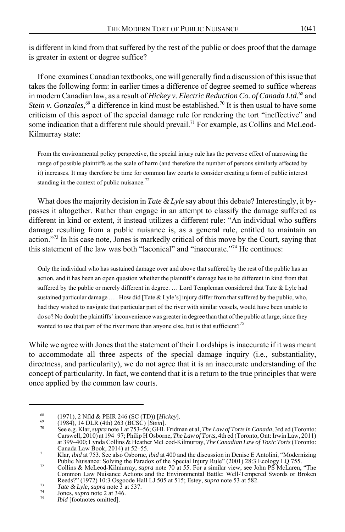is different in kind from that suffered by the rest of the public or does proof that the damage is greater in extent or degree suffice?

If one examines Canadian textbooks, one will generally find a discussion of this issue that takes the following form: in earlier times a difference of degree seemed to suffice whereas in modern Canadian law, as a result of *Hickey v. Electric Reduction Co. of Canada Ltd.*68 and *Stein v. Gonzales*,<sup>69</sup> a difference in kind must be established.<sup>70</sup> It is then usual to have some criticism of this aspect of the special damage rule for rendering the tort "ineffective" and some indication that a different rule should prevail.<sup>71</sup> For example, as Collins and McLeod-Kilmurray state:

From the environmental policy perspective, the special injury rule has the perverse effect of narrowing the range of possible plaintiffs as the scale of harm (and therefore the number of persons similarly affected by it) increases. It may therefore be time for common law courts to consider creating a form of public interest standing in the context of public nuisance. $^{72}$ 

What does the majority decision in *Tate & Lyle* say about this debate? Interestingly, it bypasses it altogether. Rather than engage in an attempt to classify the damage suffered as different in kind or extent, it instead utilizes a different rule: "An individual who suffers damage resulting from a public nuisance is, as a general rule, entitled to maintain an action."<sup>73</sup> In his case note, Jones is markedly critical of this move by the Court, saying that this statement of the law was both "laconical" and "inaccurate."<sup>74</sup> He continues:

Only the individual who has sustained damage over and above that suffered by the rest of the public has an action, and it has been an open question whether the plaintiff's damage has to be different in kind from that suffered by the public or merely different in degree. … Lord Templeman considered that Tate & Lyle had sustained particular damage … . How did [Tate & Lyle's] injury differ from that suffered by the public, who, had they wished to navigate that particular part of the river with similar vessels, would have been unable to do so? No doubt the plaintiffs' inconvenience was greater in degree than that of the public at large, since they wanted to use that part of the river more than anyone else, but is that sufficient?<sup>75</sup>

While we agree with Jones that the statement of their Lordships is inaccurate if it was meant to accommodate all three aspects of the special damage inquiry (i.e., substantiality, directness, and particularity), we do not agree that it is an inaccurate understanding of the concept of particularity. In fact, we contend that it is a return to the true principles that were once applied by the common law courts.

<sup>&</sup>lt;sup>68</sup> (1971), 2 Nfld & PEIR 246 (SC (TD)) [Hickey].<br>
<sup>69</sup> (1984), 14 DLR (4th) 263 (BCSC) [*Stein*].<br>
<sup>70</sup> See e.g. Klar, *supra* note 1 at 753–56; GHL Fridman et al, *The Law of Torts in Canada*, 3rd ed (Toronto: Carswell, 2010) at 194–97; Philip H Osborne, *The Law of Torts*, 4th ed (Toronto, Ont: Irwin Law, 2011) at 399–400; Lynda Collins & Heather McLeod-Kilmurray, *The Canadian Law of Toxic Torts* (Toronto:

<sup>&</sup>lt;sup>71</sup> Klar, *ibid* at 753. See also Osborne, *ibid* at 400 and the discussion in Denise E Antolini, "Modernizing Public Nuisance: Solving the Paradox of the Special Injury Rule" (2001) 28:3 Ecology LQ 755. <sup>72</sup> Collins & McLeod-Kilmurray, *supra* note 70 at 55. For a similar view, see John PS McLaren, "The

Common Law Nuisance Actions and the Environmental Battle: Well-Tempered Swords or Broken Reeds?" (1972) 10:3 Osgoode Hall LJ 505 at 515; Estey, *supra* note 53 at 582.<br> *Tate & Lyle*, *supra* note 3 at 537.<br> *Jones, supra* note 2 at 346.<br> *Ibid* [footnotes omitted].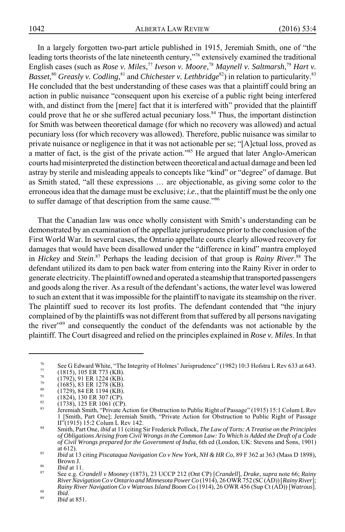In a largely forgotten two-part article published in 1915, Jeremiah Smith, one of "the leading torts theorists of the late nineteenth century,"76 extensively examined the traditional English cases (such as *Rose v. Miles*, <sup>77</sup> *Iveson v. Moore*, <sup>78</sup> *Maynell v. Saltmarsh*, <sup>79</sup> *Hart v.* Basset,<sup>80</sup> Greasly v. Codling, <sup>81</sup> and *Chichester v. Lethbridge*<sup>82</sup>) in relation to particularity. <sup>83</sup> He concluded that the best understanding of these cases was that a plaintiff could bring an action in public nuisance "consequent upon his exercise of a public right being interfered with, and distinct from the [mere] fact that it is interfered with" provided that the plaintiff could prove that he or she suffered actual pecuniary loss.<sup>84</sup> Thus, the important distinction for Smith was between theoretical damage (for which no recovery was allowed) and actual pecuniary loss (for which recovery was allowed). Therefore, public nuisance was similar to private nuisance or negligence in that it was not actionable per se; "[A]ctual loss, proved as a matter of fact, is the gist of the private action."85 He argued that later Anglo-American courts had misinterpreted the distinction between theoretical and actual damage and been led astray by sterile and misleading appeals to concepts like "kind" or "degree" of damage. But as Smith stated, "all these expressions … are objectionable, as giving some color to the erroneous idea that the damage must be exclusive; *i.e.*, that the plaintiff must be the only one to suffer damage of that description from the same cause."<sup>86</sup>

That the Canadian law was once wholly consistent with Smith's understanding can be demonstrated by an examination of the appellate jurisprudence prior to the conclusion of the First World War. In several cases, the Ontario appellate courts clearly allowed recovery for damages that would have been disallowed under the "difference in kind" mantra employed in *Hickey* and *Stein*. 87 Perhaps the leading decision of that group is *Rainy River*. 88 The defendant utilized its dam to pen back water from entering into the Rainy River in order to generate electricity. The plaintiff owned and operated a steamship that transported passengers and goods along the river. As a result of the defendant's actions, the water level was lowered to such an extent that it was impossible for the plaintiff to navigate its steamship on the river. The plaintiff sued to recover its lost profits. The defendant contended that "the injury complained of by the plaintiffs was not different from that suffered by all persons navigating the river"89 and consequently the conduct of the defendants was not actionable by the plaintiff. The Court disagreed and relied on the principles explained in *Rose v. Miles*. In that

<sup>&</sup>lt;sup>76</sup> See G Edward White, "The Integrity of Holmes' Jurisprudence" (1982) 10:3 Hofstra L Rev 633 at 643.<br>
<sup>77</sup> (1815), 105 ER 773 (KB).<br>
(1792), 91 ER 1224 (KB).<br>
(1685), 83 ER 1278 (KB).<br>
(1824), 130 ER 194 (KB).<br>
(1824),

<sup>1 [</sup>Smith, Part One]; Jeremiah Smith, "Private Action for Obstruction to Public Right of Passage

<sup>&</sup>lt;sup>84</sup> Smith, Part One, *ibid* at 11 (citing Sir Frederick Pollock, *The Law of Torts: A Treatise on the Principles of Obligations Arising from Civil Wrongs in the Common Law: To Which is Added the Draft of a Code of Civil Wrongs prepared for the Government of India*, 6th ed (London, UK: Stevens and Sons, 1901) at 612). <sup>85</sup> *Ibid* at 13 citing *Piscataqua Navigation Co v New York, NH & HR Co*, 89 F 362 at 363 (Mass D 1898),

Brown J. <sup>86</sup> *Ibid* at 11. <sup>87</sup> See e.g. *Crandell v Mooney* (1873), 23 UCCP 212 (Ont CP) [*Crandell*], *Drake*, *supra* note 66; *Rainy*

*River Navigation Co v Ontario and Minnesota Power Co* (1914), 26 OWR 752 (SC (AD)) [*Rainy River*]; *Rainy River Navigation Co v Watrous Island Boom Co* (1914), 26 OWR 456 (Sup Ct (AD)) [*Watrous*].<br><sup>89</sup> *Ibid* at 851.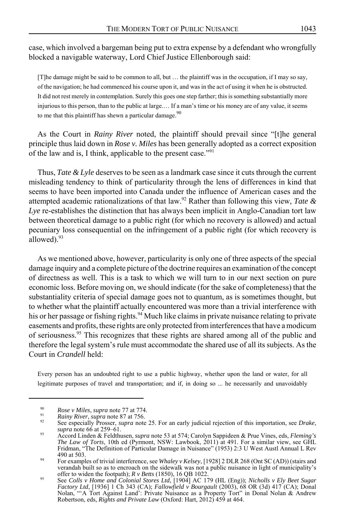case, which involved a bargeman being put to extra expense by a defendant who wrongfully blocked a navigable waterway, Lord Chief Justice Ellenborough said:

[T]he damage might be said to be common to all, but … the plaintiff was in the occupation, if I may so say, of the navigation; he had commenced his course upon it, and was in the act of using it when he is obstructed. It did not rest merely in contemplation. Surely this goes one step farther; this is something substantially more injurious to this person, than to the public at large.… If a man's time or his money are of any value, it seems to me that this plaintiff has shewn a particular damage. $90$ 

As the Court in *Rainy River* noted, the plaintiff should prevail since "[t]he general principle thus laid down in *Rose v. Miles* has been generally adopted as a correct exposition of the law and is, I think, applicable to the present case."<sup>91</sup>

Thus, *Tate & Lyle* deserves to be seen as a landmark case since it cuts through the current misleading tendency to think of particularity through the lens of differences in kind that seems to have been imported into Canada under the influence of American cases and the attempted academic rationalizations of that law.92 Rather than following this view, *Tate & Lye* re-establishes the distinction that has always been implicit in Anglo-Canadian tort law between theoretical damage to a public right (for which no recovery is allowed) and actual pecuniary loss consequential on the infringement of a public right (for which recovery is allowed). $93$ 

As we mentioned above, however, particularity is only one of three aspects of the special damage inquiry and a complete picture of the doctrine requires an examination of the concept of directness as well. This is a task to which we will turn to in our next section on pure economic loss. Before moving on, we should indicate (for the sake of completeness) that the substantiality criteria of special damage goes not to quantum, as is sometimes thought, but to whether what the plaintiff actually encountered was more than a trivial interference with his or her passage or fishing rights.<sup>94</sup> Much like claims in private nuisance relating to private easements and profits, these rights are only protected from interferences that have a modicum of seriousness.95 This recognizes that these rights are shared among all of the public and therefore the legal system's rule must accommodate the shared use of all its subjects. As the Court in *Crandell* held:

Every person has an undoubted right to use a public highway, whether upon the land or water, for all legitimate purposes of travel and transportation; and if, in doing so ... he necessarily and unavoidably

<sup>&</sup>lt;sup>90</sup> *Rose v Miles, supra* note 77 at 774.<br><sup>91</sup> *Rainy River, supra* note 87 at 756.<br><sup>92</sup> See especially Prosser, *supra* note 25. For an early judicial rejection of this importation, see *Drake*,<br>*supra* note 66 at 259–61

*supra* note 66 at 259–61. <sup>93</sup> Accord Linden & Feldthusen, *supra* note 53 at 574; Carolyn Sappideen & Prue Vines, eds, *Fleming's The Law of Torts*, 10th ed (Pyrmont, NSW: Lawbook, 2011) at 491. For a similar view, see GHL Fridman, "The Definition of Particular Damage in Nuisance" (1953) 2:3 U West Austl Annual L Rev

<sup>490</sup> at 503. <sup>94</sup> For examples of trivial interference, see *Whaley v Kelsey*, [1928] 2 DLR 268 (Ont SC (AD)) (stairs and verandah built so as to encroach on the sidewalk was not a public nuisance in light of municipality's offer to widen the footpath); *R v Betts* (1850), 16 QB 1022.<br>See *Colls v Home and Colonial Stores Ltd*, [1904] AC 179 (HL (Eng)); *Nicholls v Ely Beet Sugar* 

*Factory Ltd*, [1936] 1 Ch 343 (CA); *Fallowfield v Bourgault* (2003), 68 OR (3d) 417 (CA); Donal Nolan, "'A Tort Against Land': Private Nuisance as a Property Tort" in Donal Nolan & Andrew Robertson, eds, *Rights and Private Law* (Oxford: Hart, 2012) 459 at 464.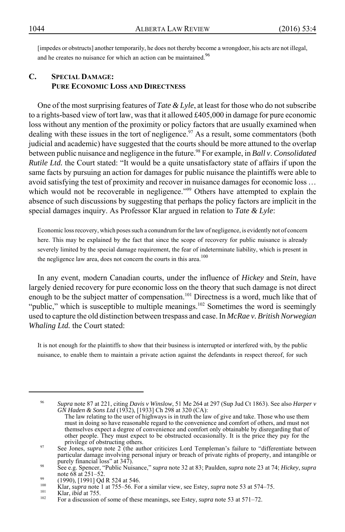[impedes or obstructs] another temporarily, he does not thereby become a wrongdoer, his acts are not illegal, and he creates no nuisance for which an action can be maintained.<sup>96</sup>

# **C. SPECIAL DAMAGE: PURE ECONOMIC LOSS AND DIRECTNESS**

One of the most surprising features of *Tate & Lyle*, at least for those who do not subscribe to a rights-based view of tort law, was that it allowed  $\text{\pounds}405,000$  in damage for pure economic loss without any mention of the proximity or policy factors that are usually examined when dealing with these issues in the tort of negligence.<sup>97</sup> As a result, some commentators (both judicial and academic) have suggested that the courts should be more attuned to the overlap between public nuisance and negligence in the future.98 For example, in *Ball v*. *Consolidated Rutile Ltd.* the Court stated: "It would be a quite unsatisfactory state of affairs if upon the same facts by pursuing an action for damages for public nuisance the plaintiffs were able to avoid satisfying the test of proximity and recover in nuisance damages for economic loss … which would not be recoverable in negligence."<sup>99</sup> Others have attempted to explain the absence of such discussions by suggesting that perhaps the policy factors are implicit in the special damages inquiry. As Professor Klar argued in relation to *Tate & Lyle*:

Economic loss recovery, which poses such a conundrum for the law of negligence, is evidently not of concern here. This may be explained by the fact that since the scope of recovery for public nuisance is already severely limited by the special damage requirement, the fear of indeterminate liability, which is present in the negligence law area, does not concern the courts in this area.<sup>100</sup>

In any event, modern Canadian courts, under the influence of *Hickey* and *Stein*, have largely denied recovery for pure economic loss on the theory that such damage is not direct enough to be the subject matter of compensation.<sup>101</sup> Directness is a word, much like that of "public," which is susceptible to multiple meanings.<sup>102</sup> Sometimes the word is seemingly used to capture the old distinction between trespass and case. In *McRae v. British Norwegian Whaling Ltd.* the Court stated:

It is not enough for the plaintiffs to show that their business is interrupted or interfered with, by the public nuisance, to enable them to maintain a private action against the defendants in respect thereof, for such

<sup>96</sup> *Supra* note 87 at 221, citing *Davis v Winslow*, 51 Me 264 at 297 (Sup Jud Ct 1863). See also *Harper v GN Haden & Sons Ltd* (1932), [1933] Ch 298 at 320 (CA):

The law relating to the user of highways is in truth the law of give and take. Those who use them must in doing so have reasonable regard to the convenience and comfort of others, and must not themselves expect a degree of convenience and comfort only obtainable by disregarding that of other people. They must expect to be obstructed occasionally. It is the price they pay for the

privilege of obstructing others. <sup>97</sup> See Jones, *supra* note 2 (the author criticizes Lord Templeman's failure to "differentiate between particular damage involving personal injury or breach of private rights of property, and intangible or

purely financial loss" at 347).<br>
See e.g. Spencer, "Public Nuisance," *supra* note 32 at 83; Paulden, *supra* note 23 at 74; *Hickey*, *supra* note 68 at 251–52.

<sup>&</sup>lt;sup>99</sup> (1990), [1991] Qd R 524 at 546.<br>
<sup>100</sup> Klar, *supra* note 1 at 755–56. For a similar view, see Estey, *supra* note 53 at 574–75.<br>
<sup>101</sup> Klar, *ibid* at 755.<br>
<sup>102</sup> For a discussion of some of these meanings, see Este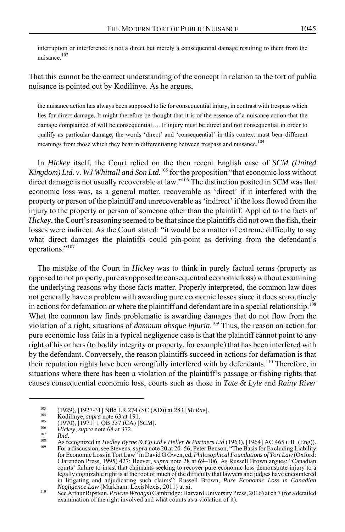interruption or interference is not a direct but merely a consequential damage resulting to them from the nuisance.103

That this cannot be the correct understanding of the concept in relation to the tort of public nuisance is pointed out by Kodilinye. As he argues,

the nuisance action has always been supposed to lie for consequential injury, in contrast with trespass which lies for direct damage. It might therefore be thought that it is of the essence of a nuisance action that the damage complained of will be consequential…. If injury must be direct and not consequential in order to qualify as particular damage, the words 'direct' and 'consequential' in this context must bear different meanings from those which they bear in differentiating between trespass and nuisance.<sup>104</sup>

In *Hickey* itself, the Court relied on the then recent English case of *SCM (United Kingdom) Ltd. v. WJ Whittall and Son Ltd.*105 for the proposition "that economic loss without direct damage is not usually recoverable at law."106 The distinction posited in *SCM* was that economic loss was, as a general matter, recoverable as 'direct' if it interfered with the property or person of the plaintiff and unrecoverable as 'indirect' if the loss flowed from the injury to the property or person of someone other than the plaintiff. Applied to the facts of *Hickey*, the Court's reasoning seemed to be that since the plaintiffs did not own the fish, their losses were indirect. As the Court stated: "it would be a matter of extreme difficulty to say what direct damages the plaintiffs could pin-point as deriving from the defendant's operations."<sup>107</sup>

The mistake of the Court in *Hickey* was to think in purely factual terms (property as opposed to not property, pure as opposed to consequential economic loss) without examining the underlying reasons why those facts matter. Properly interpreted, the common law does not generally have a problem with awarding pure economic losses since it does so routinely in actions for defamation or where the plaintiff and defendant are in a special relationship.<sup>108</sup> What the common law finds problematic is awarding damages that do not flow from the violation of a right, situations of *damnum absque injuria*. 109 Thus, the reason an action for pure economic loss fails in a typical negligence case is that the plaintiff cannot point to any right of his or hers (to bodily integrity or property, for example) that has been interfered with by the defendant. Conversely, the reason plaintiffs succeed in actions for defamation is that their reputation rights have been wrongfully interfered with by defendants.<sup>110</sup> Therefore, in situations where there has been a violation of the plaintiff's passage or fishing rights that causes consequential economic loss, courts such as those in *Tate & Lyle* and *Rainy River*

<sup>&</sup>lt;sup>103</sup> (1929), [1927-31] Nfld LR 274 (SC (AD)) at 283 [McRae].<br>
<sup>104</sup> Kodilinye, *supra* note 63 at 191.<br>
(1970), [1971] 1 QB 337 (CA) [SCM].<br>
<sup>106</sup> Hickey, *supra* note 68 at 372.<br> *Na Recognized in Hedley Byrne & Co Ltd* for Economic Loss in Tort Law" in David G Owen, ed, *Philosophical Foundations of Tort Law* (Oxford: Clarendon Press, 1995) 427; Beever, *supra* note 28 at 69–106. As Russell Brown argues: "Canadian courts' failure to insist that claimants seeking to recover pure economic loss demonstrate injury to a legally cognizable right is at the root of much of the difficulty that lawyers and judges have encountered in litigating and adjudicating such claims": Russell Brown, *Pure Economic Loss in Canadian*

*Negligence Law* (Markham: LexisNexis, 2011) at xi. <sup>110</sup> See Arthur Ripstein, *Private Wrongs* (Cambridge: Harvard University Press, 2016) at ch 7 (for a detailed examination of the right involved and what counts as a violation of it).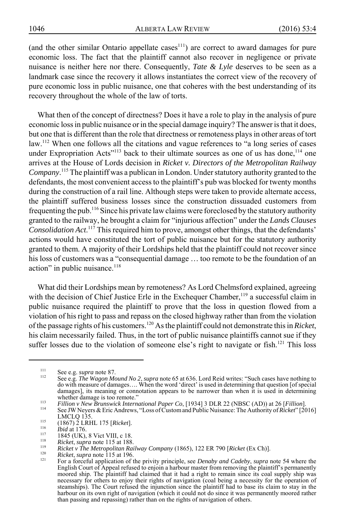(and the other similar Ontario appellate cases<sup>111</sup>) are correct to award damages for pure economic loss. The fact that the plaintiff cannot also recover in negligence or private nuisance is neither here nor there. Consequently, *Tate & Lyle* deserves to be seen as a landmark case since the recovery it allows instantiates the correct view of the recovery of pure economic loss in public nuisance, one that coheres with the best understanding of its recovery throughout the whole of the law of torts.

What then of the concept of directness? Does it have a role to play in the analysis of pure economic loss in public nuisance or in the special damage inquiry? The answer is that it does, but one that is different than the role that directness or remoteness plays in other areas of tort law.<sup>112</sup> When one follows all the citations and vague references to "a long series of cases under Expropriation Acts<sup>"113</sup> back to their ultimate sources as one of us has done,<sup>114</sup> one arrives at the House of Lords decision in *Ricket v. Directors of the Metropolitan Railway Company*. <sup>115</sup> The plaintiff was a publican in London. Under statutory authority granted to the defendants, the most convenient access to the plaintiff's pub was blocked for twenty months during the construction of a rail line. Although steps were taken to provide alternate access, the plaintiff suffered business losses since the construction dissuaded customers from frequenting the pub.116 Since his private law claims were foreclosed by the statutory authority granted to the railway, he brought a claim for "injurious affection" under the *Lands Clauses Consolidation Act*. 117 This required him to prove, amongst other things, that the defendants' actions would have constituted the tort of public nuisance but for the statutory authority granted to them. A majority of their Lordships held that the plaintiff could not recover since his loss of customers was a "consequential damage … too remote to be the foundation of an action" in public nuisance. $118$ 

What did their Lordships mean by remoteness? As Lord Chelmsford explained, agreeing with the decision of Chief Justice Erle in the Exchequer Chamber, $<sup>119</sup>$  a successful claim in</sup> public nuisance required the plaintiff to prove that the loss in question flowed from a violation of his right to pass and repass on the closed highway rather than from the violation of the passage rights of his customers.120 As the plaintiff could not demonstrate this in *Ricket*, his claim necessarily failed. Thus, in the tort of public nuisance plaintiffs cannot sue if they suffer losses due to the violation of someone else's right to navigate or fish.<sup>121</sup> This loss

<sup>111</sup> See e.g. *supra* note 87. <sup>112</sup> See e.g. *The Wagon Mound No 2*, *supra* note 65 at 636. Lord Reid writes: "Such cases have nothing to do with measure of damages…. When the word 'direct' is used in determining that question [of special damages], its meaning or connotation appears to be narrower than when it is used in determining whether damage is too remote."

Fillion v New Brunswick International Paper Co, [1934] 3 DLR 22 (NBSC (AD)) at 26 [Fillion].<br>
See JW Neyers & Eric Andrews, "Loss of Custom and Public Nuisance: The Authority of *Ricket*" [2016]<br>
LMCLQ 135.

<sup>&</sup>lt;sup>115</sup> (1867) 2 LRHL 175 [*Ricket*].<br>
<sup>116</sup> *Ibid* at 176.<br>
1845 (UK), 8 Vict VIII, c 18.<br>
<sup>118</sup> *Ricket, supra* note 115 at 188.<br>
<sup>119</sup> *Ricket v The Metropolitan Railway Company* (1865), 122 ER 790 [*Ricket* (Ex Ch)].<br> English Court of Appeal refused to enjoin a harbour master from removing the plaintiff's permanently moored ship. The plaintiff had claimed that it had a right to remain since its coal supply ship was necessary for others to enjoy their rights of navigation (coal being a necessity for the operation of steamships). The Court refused the injunction since the plaintiff had to base its claim to stay in the harbour on its own right of navigation (which it could not do since it was permanently moored rather than passing and repassing) rather than on the rights of navigation of others.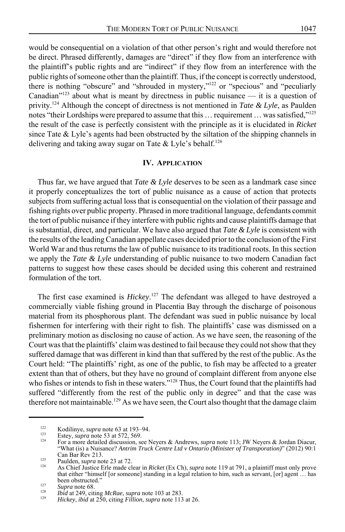would be consequential on a violation of that other person's right and would therefore not

be direct. Phrased differently, damages are "direct" if they flow from an interference with the plaintiff's public rights and are "indirect" if they flow from an interference with the public rights of someone other than the plaintiff. Thus, if the concept is correctly understood, there is nothing "obscure" and "shrouded in mystery,"<sup>122</sup> or "specious" and "peculiarly Canadian"<sup>123</sup> about what is meant by directness in public nuisance — it is a question of privity.124 Although the concept of directness is not mentioned in *Tate & Lyle*, as Paulden notes "their Lordships were prepared to assume that this  $\ldots$  requirement  $\ldots$  was satisfied,"<sup>125</sup> the result of the case is perfectly consistent with the principle as it is elucidated in *Ricket* since Tate  $&$  Lyle's agents had been obstructed by the siltation of the shipping channels in delivering and taking away sugar on Tate & Lyle's behalf.<sup>126</sup>

#### **IV. APPLICATION**

Thus far, we have argued that *Tate & Lyle* deserves to be seen as a landmark case since it properly conceptualizes the tort of public nuisance as a cause of action that protects subjects from suffering actual loss that is consequential on the violation of their passage and fishing rights over public property. Phrased in more traditional language, defendants commit the tort of public nuisance if they interfere with public rights and cause plaintiffs damage that is substantial, direct, and particular. We have also argued that *Tate & Lyle* is consistent with the results of the leading Canadian appellate cases decided prior to the conclusion of the First World War and thus returns the law of public nuisance to its traditional roots. In this section we apply the *Tate & Lyle* understanding of public nuisance to two modern Canadian fact patterns to suggest how these cases should be decided using this coherent and restrained formulation of the tort.

The first case examined is *Hickey*. 127 The defendant was alleged to have destroyed a commercially viable fishing ground in Placentia Bay through the discharge of poisonous material from its phosphorous plant. The defendant was sued in public nuisance by local fishermen for interfering with their right to fish. The plaintiffs' case was dismissed on a preliminary motion as disclosing no cause of action. As we have seen, the reasoning of the Court was that the plaintiffs' claim was destined to fail because they could not show that they suffered damage that was different in kind than that suffered by the rest of the public. As the Court held: "The plaintiffs' right, as one of the public, to fish may be affected to a greater extent than that of others, but they have no ground of complaint different from anyone else who fishes or intends to fish in these waters."<sup>128</sup> Thus, the Court found that the plaintiffs had suffered "differently from the rest of the public only in degree" and that the case was therefore not maintainable.<sup>129</sup> As we have seen, the Court also thought that the damage claim

<sup>&</sup>lt;sup>122</sup> Kodilinye, *supra* note 63 at 193–94.<br><sup>123</sup> Estey, *supra* note 53 at 572, 569.<br><sup>124</sup> For a more detailed discussion, see Neyers & Andrews, *supra* note 113; JW Neyers & Jordan Diacur, "What (is) a Nuisance? *Antrim Truck Centre Ltd v Ontario (Minister of Transporation)*" (2012) 90:1

Paulden, *supra* note 23 at 72.<br><sup>126</sup> As Chief Justice Erle made clear in *Ricket* (Ex Ch), *supra* note 119 at 791, a plaintiff must only prove that either "himself [or someone] standing in a legal relation to him, such as servant, [or] agent … has

been obstructed." <sup>127</sup> *Supra* note 68. <sup>128</sup> *Ibid* at 249, citing *McRae*, *supra* note 103 at 283. <sup>129</sup> *Hickey*, *ibid* at 250, citing *Fillion*, *supra* note 113 at 26.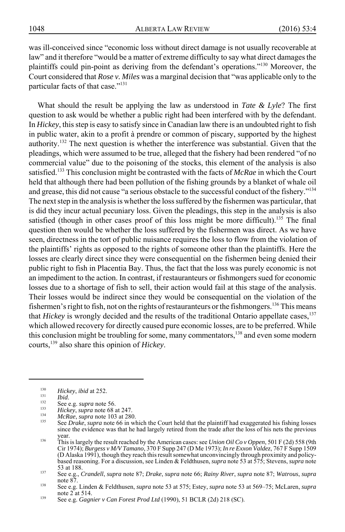was ill-conceived since "economic loss without direct damage is not usually recoverable at law" and it therefore "would be a matter of extreme difficulty to say what direct damages the plaintiffs could pin-point as deriving from the defendant's operations."130 Moreover, the Court considered that *Rose v. Miles* was a marginal decision that "was applicable only to the particular facts of that case."<sup>131</sup>

What should the result be applying the law as understood in *Tate & Lyle*? The first question to ask would be whether a public right had been interfered with by the defendant. In *Hickey*, this step is easy to satisfy since in Canadian law there is an undoubted right to fish in public water, akin to a profit à prendre or common of piscary, supported by the highest authority.<sup>132</sup> The next question is whether the interference was substantial. Given that the pleadings, which were assumed to be true, alleged that the fishery had been rendered "of no commercial value" due to the poisoning of the stocks, this element of the analysis is also satisfied.133 This conclusion might be contrasted with the facts of *McRae* in which the Court held that although there had been pollution of the fishing grounds by a blanket of whale oil and grease, this did not cause "a serious obstacle to the successful conduct of the fishery."134 The next step in the analysis is whether the loss suffered by the fishermen was particular, that is did they incur actual pecuniary loss. Given the pleadings, this step in the analysis is also satisfied (though in other cases proof of this loss might be more difficult).<sup>135</sup> The final question then would be whether the loss suffered by the fishermen was direct. As we have seen, directness in the tort of public nuisance requires the loss to flow from the violation of the plaintiffs' rights as opposed to the rights of someone other than the plaintiffs. Here the losses are clearly direct since they were consequential on the fishermen being denied their public right to fish in Placentia Bay. Thus, the fact that the loss was purely economic is not an impediment to the action. In contrast, if restauranteurs or fishmongers sued for economic losses due to a shortage of fish to sell, their action would fail at this stage of the analysis. Their losses would be indirect since they would be consequential on the violation of the fishermen's right to fish, not on the rights of restauranteurs or the fishmongers.<sup>136</sup> This means that *Hickey* is wrongly decided and the results of the traditional Ontario appellate cases,<sup>137</sup> which allowed recovery for directly caused pure economic losses, are to be preferred. While this conclusion might be troubling for some, many commentators,<sup>138</sup> and even some modern courts,139 also share this opinion of *Hickey*.

Hickey, ibid at 252.<br>
<sup>131</sup> Ibid.<br>
See e.g. *supra* note 56.<br>
<sup>133</sup> Hickey, *supra* note 68 at 247.<br>
<sup>134</sup> McRae, *supra* note 103 at 280.<br>
See Drake, *supra* note 103 at 280. since the evidence was that he had largely retired from the trade after the loss of his nets the previous year.

<sup>&</sup>lt;sup>136</sup> This is largely the result reached by the American cases: see *Union Oil Co v Oppen*, 501 F (2d) 558 (9th Cir 1974); *Burgess v M/V Tamano*, 370 F Supp 247 (D Me 1973); *In re Exxon Valdez*, 767 F Supp 1509 (D Alaska 1991), though they reach this result somewhat unconvincingly through proximity and policybased reasoning. For a discussion, see Linden & Feldthusen, *supra* note 53 at 575; Stevens, *supra* note

<sup>53</sup> at 188. <sup>137</sup> See e.g., *Crandell*, *supra* note 87; *Drake*, *supra* note 66; *Rainy River*, *supra* note 87; *Watrous*, *supra*

note 87. <sup>138</sup> See e.g. Linden & Feldthusen, *supra* note 53 at 575; Estey, *supra* note 53 at 569–75; McLaren, *supra*

 $139$  See e.g. *Gagnier v Can Forest Prod Ltd* (1990), 51 BCLR (2d) 218 (SC).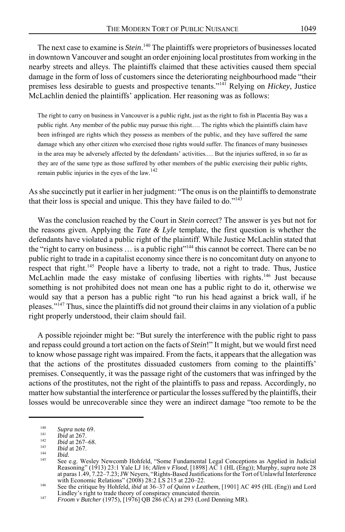The next case to examine is *Stein*.<sup>140</sup> The plaintiffs were proprietors of businesses located in downtown Vancouver and sought an order enjoining local prostitutes from working in the nearby streets and alleys. The plaintiffs claimed that these activities caused them special damage in the form of loss of customers since the deteriorating neighbourhood made "their premises less desirable to guests and prospective tenants."141 Relying on *Hickey*, Justice McLachlin denied the plaintiffs' application. Her reasoning was as follows:

The right to carry on business in Vancouver is a public right, just as the right to fish in Placentia Bay was a public right. Any member of the public may pursue this right…. The rights which the plaintiffs claim have been infringed are rights which they possess as members of the public, and they have suffered the same damage which any other citizen who exercised those rights would suffer. The finances of many businesses in the area may be adversely affected by the defendants' activities.… But the injuries suffered, in so far as they are of the same type as those suffered by other members of the public exercising their public rights, remain public injuries in the eyes of the law. $142$ 

As she succinctly put it earlier in her judgment: "The onus is on the plaintiffs to demonstrate that their loss is special and unique. This they have failed to do."<sup>143</sup>

Was the conclusion reached by the Court in *Stein* correct? The answer is yes but not for the reasons given. Applying the *Tate & Lyle* template, the first question is whether the defendants have violated a public right of the plaintiff. While Justice McLachlin stated that the "right to carry on business  $\dots$  is a public right"<sup>144</sup> this cannot be correct. There can be no public right to trade in a capitalist economy since there is no concomitant duty on anyone to respect that right.145 People have a liberty to trade, not a right to trade. Thus, Justice McLachlin made the easy mistake of confusing liberties with rights.<sup>146</sup> Just because something is not prohibited does not mean one has a public right to do it, otherwise we would say that a person has a public right "to run his head against a brick wall, if he pleases."<sup>147</sup> Thus, since the plaintiffs did not ground their claims in any violation of a public right properly understood, their claim should fail.

A possible rejoinder might be: "But surely the interference with the public right to pass and repass could ground a tort action on the facts of *Stein*!" It might, but we would first need to know whose passage right was impaired. From the facts, it appears that the allegation was that the actions of the prostitutes dissuaded customers from coming to the plaintiffs' premises. Consequently, it was the passage right of the customers that was infringed by the actions of the prostitutes, not the right of the plaintiffs to pass and repass. Accordingly, no matter how substantial the interference or particular the losses suffered by the plaintiffs, their losses would be unrecoverable since they were an indirect damage "too remote to be the

<sup>&</sup>lt;sup>140</sup><br>
Inid at 267.<br> *Ibid* at 267.<br> *Ibid* at 267-68.<br> *Ibid* at 267-68.<br> *Ibid* at 267-68.<br> *Ibid* at 267.<br> *Ibid* at 267.<br> *Ibid* at 267.<br> *Ibid*.<br>
See e.g. Wesley Newcomb Hohfeld, "Some Fundamental Legal Conceptions a

Lindley's right to trade theory of conspiracy enunciated therein. <sup>147</sup> *Froom v Butcher* (1975), [1976] QB 286 (CA) at 293 (Lord Denning MR).